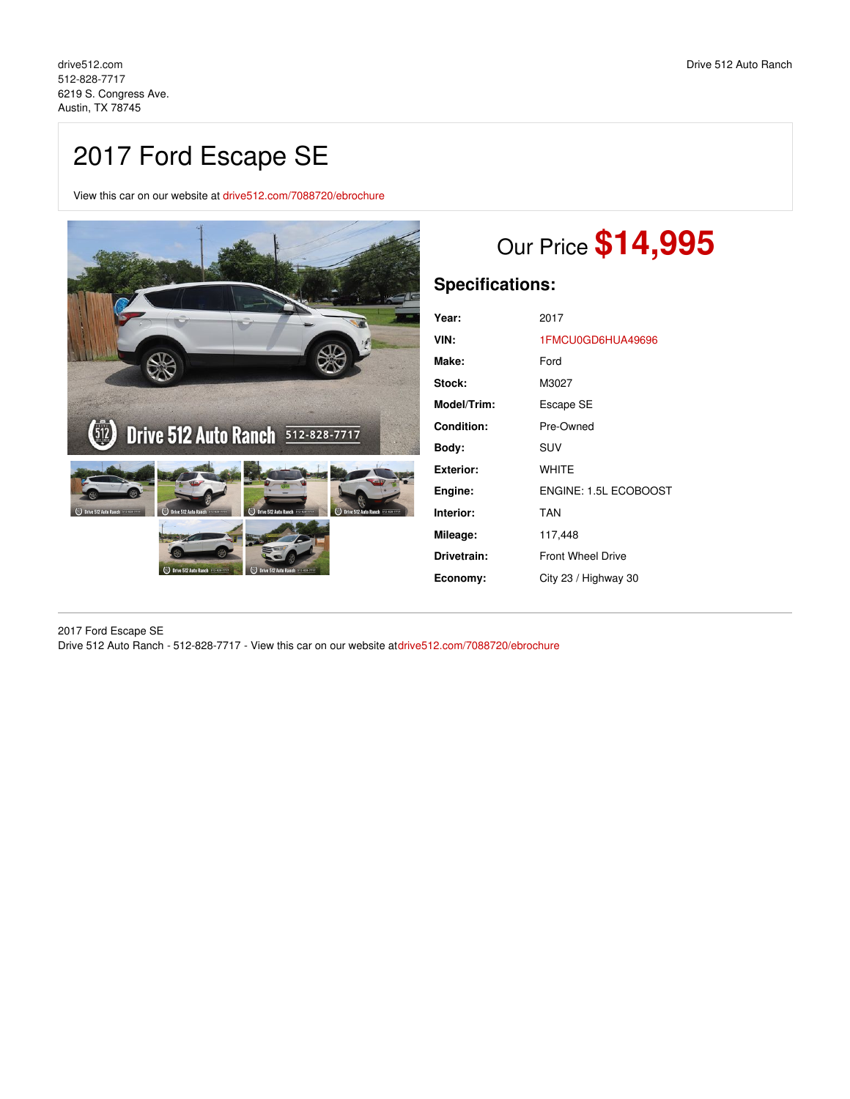## 2017 Ford Escape SE

View this car on our website at [drive512.com/7088720/ebrochure](https://drive512.com/vehicle/7088720/2017-ford-escape-se-austin-tx-78745/7088720/ebrochure)



## Our Price **\$14,995**

## **Specifications:**

| Year:            | 2017                     |
|------------------|--------------------------|
| VIN:             | 1FMCU0GD6HUA49696        |
| Make:            | Ford                     |
| Stock:           | M3027                    |
| Model/Trim:      | Escape SE                |
| Condition:       | Pre-Owned                |
| Body:            | SUV                      |
| <b>Exterior:</b> | WHITE                    |
| Engine:          | ENGINE: 1.5L ECOBOOST    |
| Interior:        | <b>TAN</b>               |
| Mileage:         | 117,448                  |
| Drivetrain:      | <b>Front Wheel Drive</b> |
| Economy:         | City 23 / Highway 30     |

2017 Ford Escape SE Drive 512 Auto Ranch - 512-828-7717 - View this car on our website a[tdrive512.com/7088720/ebrochure](https://drive512.com/vehicle/7088720/2017-ford-escape-se-austin-tx-78745/7088720/ebrochure)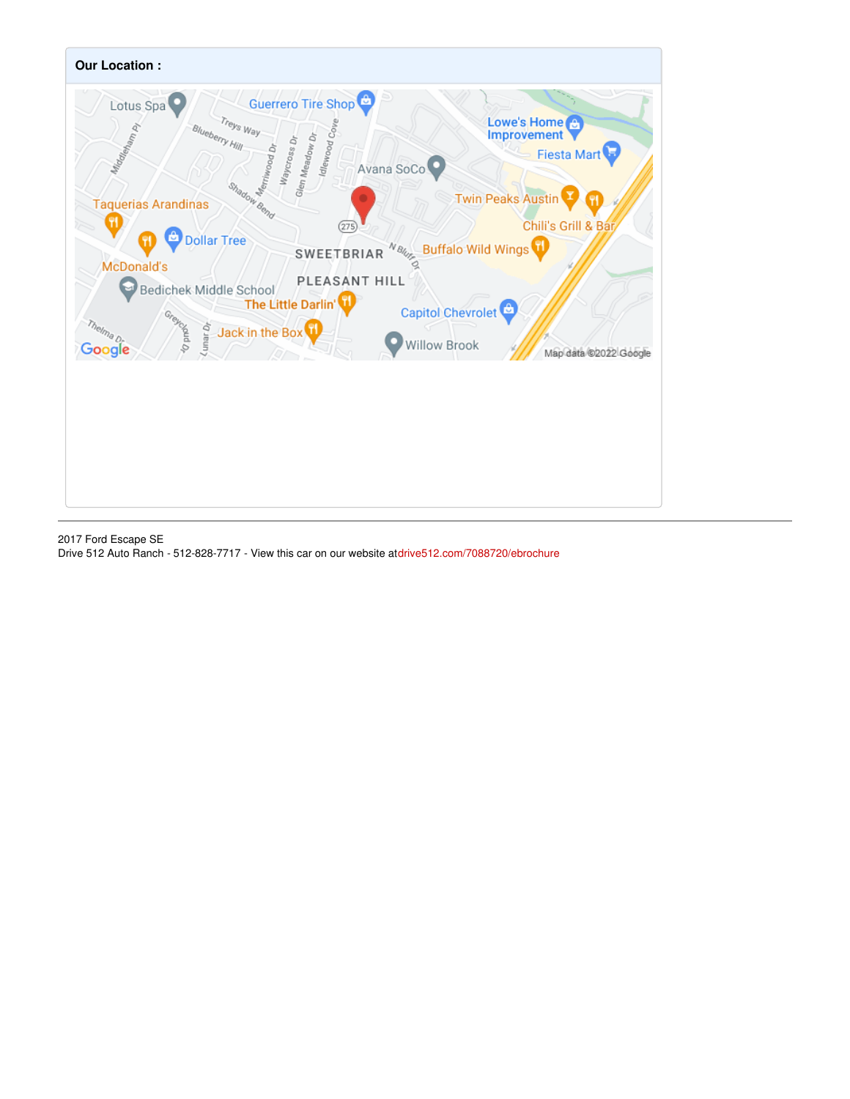

2017 Ford Escape SE Drive 512 Auto Ranch - 512-828-7717 - View this car on our website a[tdrive512.com/7088720/ebrochure](https://drive512.com/vehicle/7088720/2017-ford-escape-se-austin-tx-78745/7088720/ebrochure)